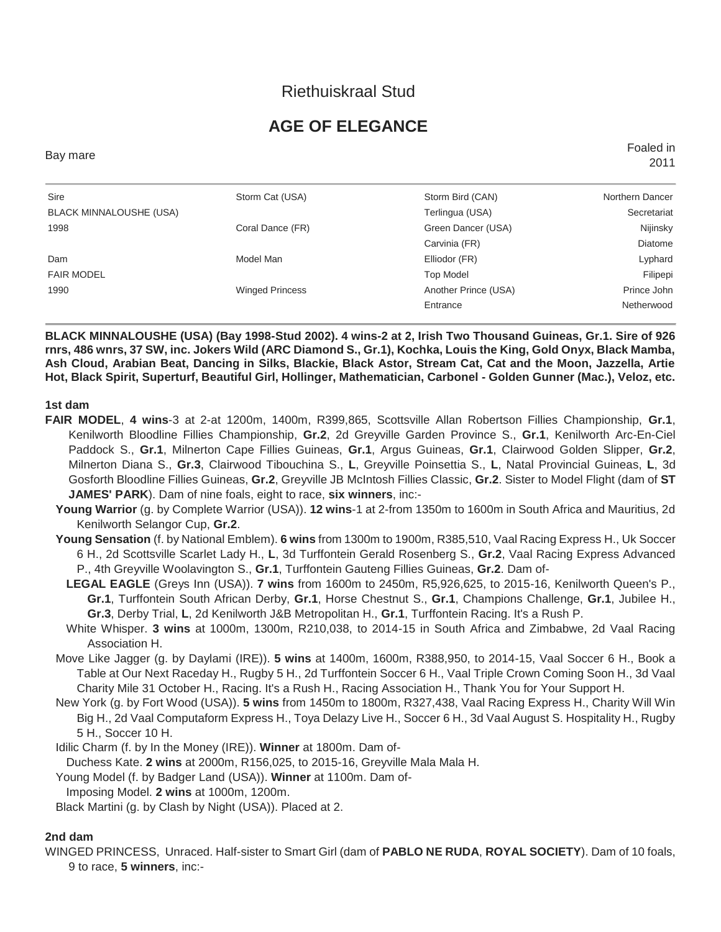# **AGE OF ELEGANCE**

Bay mare Foaled in 2011

| Sire                           | Storm Cat (USA)        | Storm Bird (CAN)     | Northern Dancer |
|--------------------------------|------------------------|----------------------|-----------------|
| <b>BLACK MINNALOUSHE (USA)</b> |                        | Terlingua (USA)      | Secretariat     |
| 1998                           | Coral Dance (FR)       | Green Dancer (USA)   | Nijinsky        |
|                                |                        | Carvinia (FR)        | Diatome         |
| Dam                            | Model Man              | Elliodor (FR)        | Lyphard         |
| <b>FAIR MODEL</b>              |                        | <b>Top Model</b>     | Filipepi        |
| 1990                           | <b>Winged Princess</b> | Another Prince (USA) | Prince John     |
|                                |                        | Entrance             | Netherwood      |
|                                |                        |                      |                 |

**BLACK MINNALOUSHE (USA) (Bay 1998-Stud 2002). 4 wins-2 at 2, Irish Two Thousand Guineas, Gr.1. Sire of 926 rnrs, 486 wnrs, 37 SW, inc. Jokers Wild (ARC Diamond S., Gr.1), Kochka, Louis the King, Gold Onyx, Black Mamba, Ash Cloud, Arabian Beat, Dancing in Silks, Blackie, Black Astor, Stream Cat, Cat and the Moon, Jazzella, Artie Hot, Black Spirit, Superturf, Beautiful Girl, Hollinger, Mathematician, Carbonel - Golden Gunner (Mac.), Veloz, etc.**

**1st dam**

- **FAIR MODEL**, **4 wins**-3 at 2-at 1200m, 1400m, R399,865, Scottsville Allan Robertson Fillies Championship, **Gr.1**, Kenilworth Bloodline Fillies Championship, **Gr.2**, 2d Greyville Garden Province S., **Gr.1**, Kenilworth Arc-En-Ciel Paddock S., **Gr.1**, Milnerton Cape Fillies Guineas, **Gr.1**, Argus Guineas, **Gr.1**, Clairwood Golden Slipper, **Gr.2**, Milnerton Diana S., **Gr.3**, Clairwood Tibouchina S., **L**, Greyville Poinsettia S., **L**, Natal Provincial Guineas, **L**, 3d Gosforth Bloodline Fillies Guineas, **Gr.2**, Greyville JB McIntosh Fillies Classic, **Gr.2**. Sister to Model Flight (dam of **ST JAMES' PARK**). Dam of nine foals, eight to race, **six winners**, inc:-
	- **Young Warrior** (g. by Complete Warrior (USA)). **12 wins**-1 at 2-from 1350m to 1600m in South Africa and Mauritius, 2d Kenilworth Selangor Cup, **Gr.2**.
	- **Young Sensation** (f. by National Emblem). **6 wins** from 1300m to 1900m, R385,510, Vaal Racing Express H., Uk Soccer 6 H., 2d Scottsville Scarlet Lady H., **L**, 3d Turffontein Gerald Rosenberg S., **Gr.2**, Vaal Racing Express Advanced P., 4th Greyville Woolavington S., **Gr.1**, Turffontein Gauteng Fillies Guineas, **Gr.2**. Dam of-
		- **LEGAL EAGLE** (Greys Inn (USA)). **7 wins** from 1600m to 2450m, R5,926,625, to 2015-16, Kenilworth Queen's P., **Gr.1**, Turffontein South African Derby, **Gr.1**, Horse Chestnut S., **Gr.1**, Champions Challenge, **Gr.1**, Jubilee H., **Gr.3**, Derby Trial, **L**, 2d Kenilworth J&B Metropolitan H., **Gr.1**, Turffontein Racing. It's a Rush P.
		- White Whisper. **3 wins** at 1000m, 1300m, R210,038, to 2014-15 in South Africa and Zimbabwe, 2d Vaal Racing Association H.
	- Move Like Jagger (g. by Daylami (IRE)). **5 wins** at 1400m, 1600m, R388,950, to 2014-15, Vaal Soccer 6 H., Book a Table at Our Next Raceday H., Rugby 5 H., 2d Turffontein Soccer 6 H., Vaal Triple Crown Coming Soon H., 3d Vaal Charity Mile 31 October H., Racing. It's a Rush H., Racing Association H., Thank You for Your Support H.
	- New York (g. by Fort Wood (USA)). **5 wins** from 1450m to 1800m, R327,438, Vaal Racing Express H., Charity Will Win Big H., 2d Vaal Computaform Express H., Toya Delazy Live H., Soccer 6 H., 3d Vaal August S. Hospitality H., Rugby 5 H., Soccer 10 H.
	- Idilic Charm (f. by In the Money (IRE)). **Winner** at 1800m. Dam of-
	- Duchess Kate. **2 wins** at 2000m, R156,025, to 2015-16, Greyville Mala Mala H.
	- Young Model (f. by Badger Land (USA)). **Winner** at 1100m. Dam of-
	- Imposing Model. **2 wins** at 1000m, 1200m.

Black Martini (g. by Clash by Night (USA)). Placed at 2.

#### **2nd dam**

WINGED PRINCESS, Unraced. Half-sister to Smart Girl (dam of **PABLO NE RUDA**, **ROYAL SOCIETY**). Dam of 10 foals, 9 to race, **5 winners**, inc:-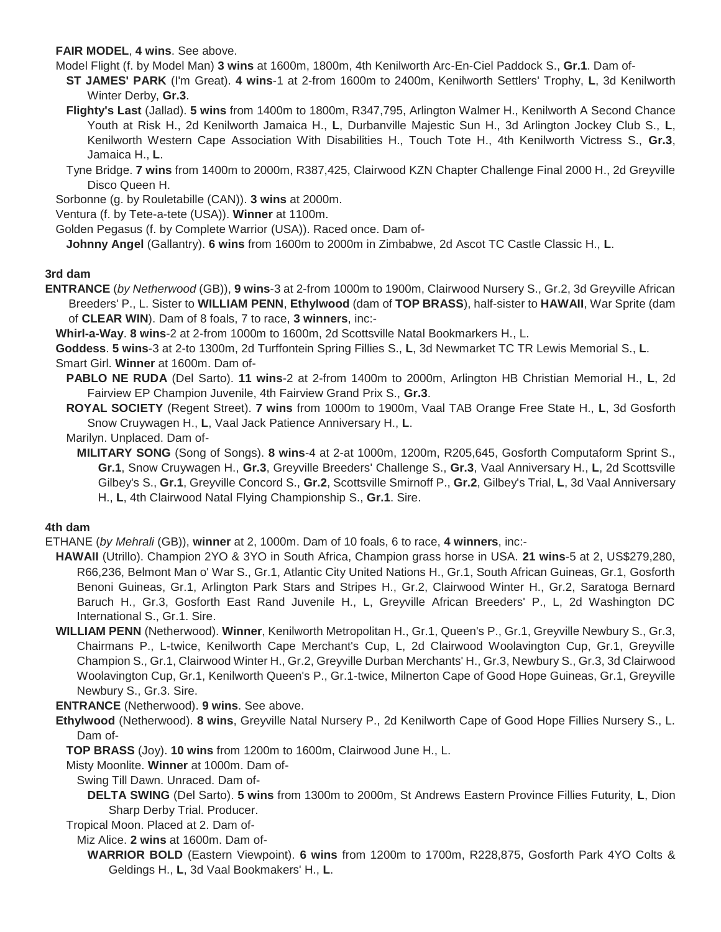#### **FAIR MODEL**, **4 wins**. See above.

Model Flight (f. by Model Man) **3 wins** at 1600m, 1800m, 4th Kenilworth Arc-En-Ciel Paddock S., **Gr.1**. Dam of-

**ST JAMES' PARK** (I'm Great). **4 wins**-1 at 2-from 1600m to 2400m, Kenilworth Settlers' Trophy, **L**, 3d Kenilworth Winter Derby, **Gr.3**.

**Flighty's Last** (Jallad). **5 wins** from 1400m to 1800m, R347,795, Arlington Walmer H., Kenilworth A Second Chance Youth at Risk H., 2d Kenilworth Jamaica H., **L**, Durbanville Majestic Sun H., 3d Arlington Jockey Club S., **L**, Kenilworth Western Cape Association With Disabilities H., Touch Tote H., 4th Kenilworth Victress S., **Gr.3**, Jamaica H., **L**.

Tyne Bridge. **7 wins** from 1400m to 2000m, R387,425, Clairwood KZN Chapter Challenge Final 2000 H., 2d Greyville Disco Queen H.

Sorbonne (g. by Rouletabille (CAN)). **3 wins** at 2000m.

Ventura (f. by Tete-a-tete (USA)). **Winner** at 1100m.

Golden Pegasus (f. by Complete Warrior (USA)). Raced once. Dam of-

**Johnny Angel** (Gallantry). **6 wins** from 1600m to 2000m in Zimbabwe, 2d Ascot TC Castle Classic H., **L**.

### **3rd dam**

**ENTRANCE** (*by Netherwood* (GB)), **9 wins**-3 at 2-from 1000m to 1900m, Clairwood Nursery S., Gr.2, 3d Greyville African Breeders' P., L. Sister to **WILLIAM PENN**, **Ethylwood** (dam of **TOP BRASS**), half-sister to **HAWAII**, War Sprite (dam of **CLEAR WIN**). Dam of 8 foals, 7 to race, **3 winners**, inc:-

**Whirl-a-Way**. **8 wins**-2 at 2-from 1000m to 1600m, 2d Scottsville Natal Bookmarkers H., L.

**Goddess**. **5 wins**-3 at 2-to 1300m, 2d Turffontein Spring Fillies S., **L**, 3d Newmarket TC TR Lewis Memorial S., **L**. Smart Girl. **Winner** at 1600m. Dam of-

**PABLO NE RUDA** (Del Sarto). **11 wins**-2 at 2-from 1400m to 2000m, Arlington HB Christian Memorial H., **L**, 2d Fairview EP Champion Juvenile, 4th Fairview Grand Prix S., **Gr.3**.

**ROYAL SOCIETY** (Regent Street). **7 wins** from 1000m to 1900m, Vaal TAB Orange Free State H., **L**, 3d Gosforth Snow Cruywagen H., **L**, Vaal Jack Patience Anniversary H., **L**.

Marilyn. Unplaced. Dam of-

**MILITARY SONG** (Song of Songs). **8 wins**-4 at 2-at 1000m, 1200m, R205,645, Gosforth Computaform Sprint S., **Gr.1**, Snow Cruywagen H., **Gr.3**, Greyville Breeders' Challenge S., **Gr.3**, Vaal Anniversary H., **L**, 2d Scottsville Gilbey's S., **Gr.1**, Greyville Concord S., **Gr.2**, Scottsville Smirnoff P., **Gr.2**, Gilbey's Trial, **L**, 3d Vaal Anniversary H., **L**, 4th Clairwood Natal Flying Championship S., **Gr.1**. Sire.

# **4th dam**

ETHANE (*by Mehrali* (GB)), **winner** at 2, 1000m. Dam of 10 foals, 6 to race, **4 winners**, inc:-

- **HAWAII** (Utrillo). Champion 2YO & 3YO in South Africa, Champion grass horse in USA. **21 wins**-5 at 2, US\$279,280, R66,236, Belmont Man o' War S., Gr.1, Atlantic City United Nations H., Gr.1, South African Guineas, Gr.1, Gosforth Benoni Guineas, Gr.1, Arlington Park Stars and Stripes H., Gr.2, Clairwood Winter H., Gr.2, Saratoga Bernard Baruch H., Gr.3, Gosforth East Rand Juvenile H., L, Greyville African Breeders' P., L, 2d Washington DC International S., Gr.1. Sire.
- **WILLIAM PENN** (Netherwood). **Winner**, Kenilworth Metropolitan H., Gr.1, Queen's P., Gr.1, Greyville Newbury S., Gr.3, Chairmans P., L-twice, Kenilworth Cape Merchant's Cup, L, 2d Clairwood Woolavington Cup, Gr.1, Greyville Champion S., Gr.1, Clairwood Winter H., Gr.2, Greyville Durban Merchants' H., Gr.3, Newbury S., Gr.3, 3d Clairwood Woolavington Cup, Gr.1, Kenilworth Queen's P., Gr.1-twice, Milnerton Cape of Good Hope Guineas, Gr.1, Greyville Newbury S., Gr.3. Sire.

**ENTRANCE** (Netherwood). **9 wins**. See above.

- **Ethylwood** (Netherwood). **8 wins**, Greyville Natal Nursery P., 2d Kenilworth Cape of Good Hope Fillies Nursery S., L. Dam of-
	- **TOP BRASS** (Joy). **10 wins** from 1200m to 1600m, Clairwood June H., L.

Misty Moonlite. **Winner** at 1000m. Dam of-

- Swing Till Dawn. Unraced. Dam of-
	- **DELTA SWING** (Del Sarto). **5 wins** from 1300m to 2000m, St Andrews Eastern Province Fillies Futurity, **L**, Dion Sharp Derby Trial. Producer.

Tropical Moon. Placed at 2. Dam of-

Miz Alice. **2 wins** at 1600m. Dam of-

**WARRIOR BOLD** (Eastern Viewpoint). **6 wins** from 1200m to 1700m, R228,875, Gosforth Park 4YO Colts & Geldings H., **L**, 3d Vaal Bookmakers' H., **L**.